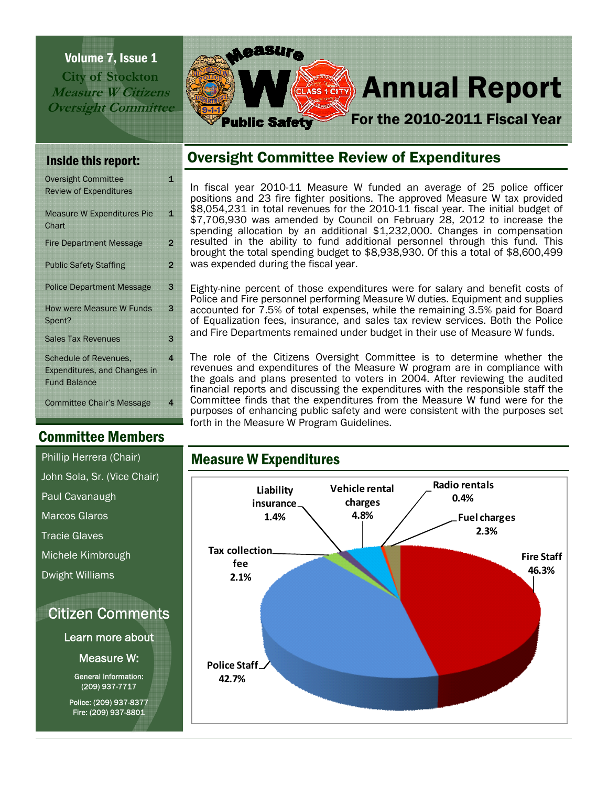Volume 7, Issue 1 **City of Stockton Measure W Citizens Oversight Committee** 



| <b>Oversight Committee</b>                 | 1              |
|--------------------------------------------|----------------|
| <b>Review of Expenditures</b>              |                |
| <b>Measure W Expenditures Pie</b><br>Chart | 1              |
|                                            |                |
| <b>Fire Department Message</b>             | 2              |
| <b>Public Safety Staffing</b>              | $\overline{2}$ |
| <b>Police Department Message</b>           | 3              |
| How were Measure W Funds                   | 3              |
| Spent?                                     |                |
| <b>Sales Tax Revenues</b>                  | 3              |
| <b>Schedule of Revenues,</b>               | 4              |
| Expenditures, and Changes in               |                |
| <b>Fund Balance</b>                        |                |
| <b>Committee Chair's Message</b>           | 4              |
|                                            |                |

# Committee Members

Citizen Comments John Sola, Sr. (Vice Chair) Paul Cavanaugh Marcos Glaros Tracie Glaves Michele Kimbrough Dwight Williams

Learn more about

Measure W:

General Information: (209) 937-7717

Police: (209) 937-8377 Fire: (209) 937-8801

# Inside this report: **Oversight Committee Review of Expenditures**

In fiscal year 2010-11 Measure W funded an average of 25 police officer positions and 23 fire fighter positions. The approved Measure W tax provided \$8,054,231 in total revenues for the 2010-11 fiscal year. The initial budget of \$8,004,201 In total revenues for the EULE 11 hours 28, 2012 to increase the spending allocation by an additional \$1,232,000. Changes in compensation resulted in the ability to fund additional personnel through this fund. This brought the total spending budget to \$8,938,930. Of this a total of \$8,600,499 was expended during the fiscal year.

Eighty-nine percent of those expenditures were for salary and benefit costs of Police and Fire personnel performing Measure W duties. Equipment and supplies accounted for 7.5% of total expenses, while the remaining 3.5% paid for Board of Equalization fees, insurance, and sales tax review services. Both the Police and Fire Departments remained under budget in their use of Measure W funds.

The role of the Citizens Oversight Committee is to determine whether the revenues and expenditures of the Measure W program are in compliance with the goals and plans presented to voters in 2004. After reviewing the audited financial reports and discussing the expenditures with the responsible staff the Committee finds that the expenditures from the Measure W fund were for the purposes of enhancing public safety and were consistent with the purposes set forth in the Measure W Program Guidelines.

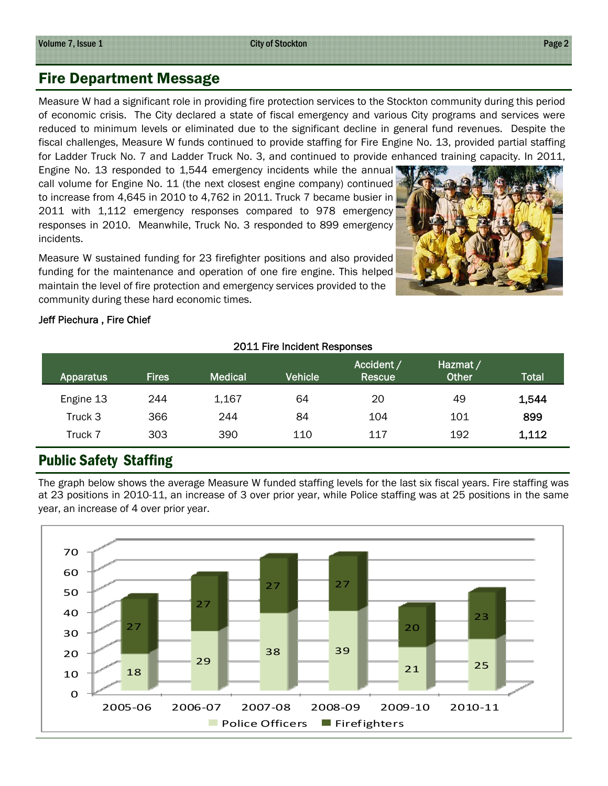# Fire Department Message

Measure W had a significant role in providing fire protection services to the Stockton community during this period of economic crisis. The City declared a state of fiscal emergency and various City programs and services were reduced to minimum levels or eliminated due to the significant decline in general fund revenues. Despite the fiscal challenges, Measure W funds continued to provide staffing for Fire Engine No. 13, provided partial staffing for Ladder Truck No. 7 and Ladder Truck No. 3, and continued to provide enhanced training capacity. In 2011,

Engine No. 13 responded to 1,544 emergency incidents while the annual call volume for Engine No. 11 (the next closest engine company) continued to increase from 4,645 in 2010 to 4,762 in 2011. Truck 7 became busier in 2011 with 1,112 emergency responses compared to 978 emergency responses in 2010. Meanwhile, Truck No. 3 responded to 899 emergency incidents.

Measure W sustained funding for 23 firefighter positions and also provided funding for the maintenance and operation of one fire engine. This helped maintain the level of fire protection and emergency services provided to the community during these hard economic times.



#### Jeff Piechura , Fire Chief

| 2011 Fire Incident Responses |              |                |                |                      |                          |              |
|------------------------------|--------------|----------------|----------------|----------------------|--------------------------|--------------|
| Apparatus                    | <b>Fires</b> | <b>Medical</b> | <b>Vehicle</b> | Accident /<br>Rescue | Hazmat /<br><b>Other</b> | <b>Total</b> |
| Engine 13                    | 244          | 1,167          | 64             | 20                   | 49                       | 1,544        |
| Truck 3                      | 366          | 244            | 84             | 104                  | 101                      | 899          |
| Truck 7                      | 303          | 390            | 110            | 117                  | 192                      | 1,112        |

# Public Safety Staffing

The graph below shows the average Measure W funded staffing levels for the last six fiscal years. Fire staffing was at 23 positions in 2010-11, an increase of 3 over prior year, while Police staffing was at 25 positions in the same year, an increase of 4 over prior year.

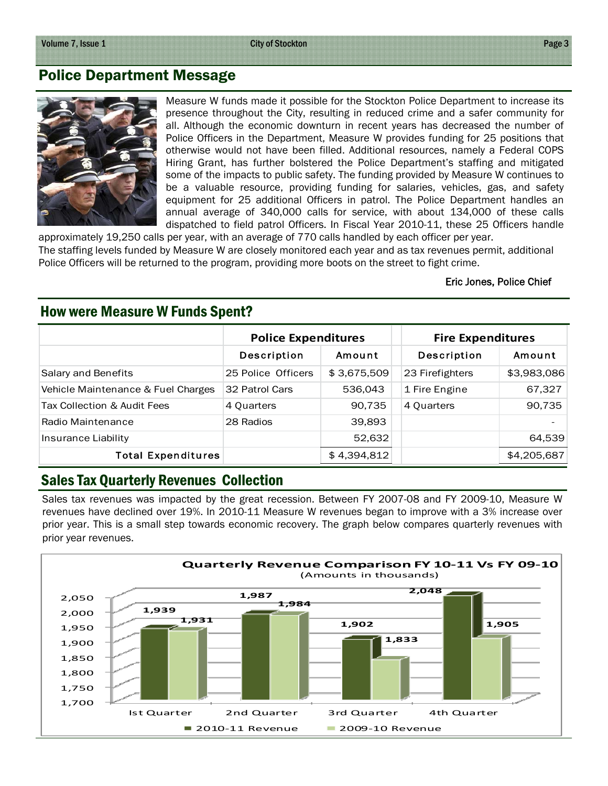### Police Department Message



Measure W funds made it possible for the Stockton Police Department to increase its presence throughout the City, resulting in reduced crime and a safer community for all. Although the economic downturn in recent years has decreased the number of Police Officers in the Department, Measure W provides funding for 25 positions that otherwise would not have been filled. Additional resources, namely a Federal COPS Hiring Grant, has further bolstered the Police Department's staffing and mitigated some of the impacts to public safety. The funding provided by Measure W continues to be a valuable resource, providing funding for salaries, vehicles, gas, and safety equipment for 25 additional Officers in patrol. The Police Department handles an annual average of 340,000 calls for service, with about 134,000 of these calls dispatched to field patrol Officers. In Fiscal Year 2010-11, these 25 Officers handle

approximately 19,250 calls per year, with an average of 770 calls handled by each officer per year. The staffing levels funded by Measure W are closely monitored each year and as tax revenues permit, additional Police Officers will be returned to the program, providing more boots on the street to fight crime.

#### Eric Jones, Police Chief

|                                    | <b>Police Expenditures</b> |             | <b>Fire Expenditures</b> |             |
|------------------------------------|----------------------------|-------------|--------------------------|-------------|
|                                    | Description                | Amount      | Description              | Amount      |
| Salary and Benefits                | 25 Police Officers         | \$3,675,509 | 23 Firefighters          | \$3,983,086 |
| Vehicle Maintenance & Fuel Charges | 32 Patrol Cars             | 536,043     | 1 Fire Engine            | 67,327      |
| Tax Collection & Audit Fees        | 4 Quarters                 | 90,735      | 4 Quarters               | 90,735      |
| Radio Maintenance                  | 28 Radios                  | 39,893      |                          |             |
| Insurance Liability                |                            | 52,632      |                          | 64,539      |
| <b>Total Expenditures</b>          |                            | \$4,394,812 |                          | \$4,205,687 |

#### How were Measure W Funds Spent?

#### Sales Tax Quarterly Revenues Collection

Sales tax revenues was impacted by the great recession. Between FY 2007-08 and FY 2009-10, Measure W revenues have declined over 19%. In 2010-11 Measure W revenues began to improve with a 3% increase over prior year. This is a small step towards economic recovery. The graph below compares quarterly revenues with prior year revenues.